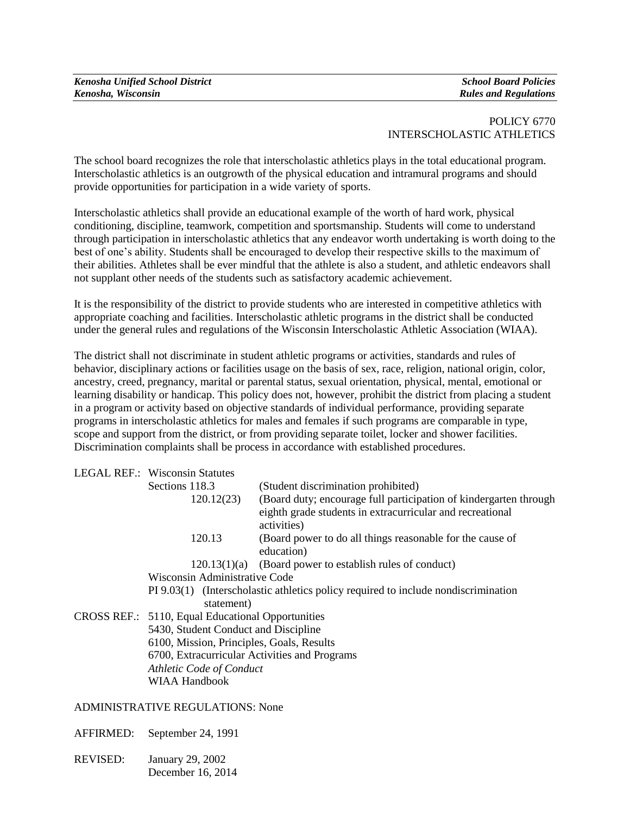| <b>Kenosha Unified School District</b> | <b>School Board Policies</b> |
|----------------------------------------|------------------------------|
| Kenosha, Wisconsin                     | <b>Rules and Regulations</b> |

## POLICY 6770 INTERSCHOLASTIC ATHLETICS

The school board recognizes the role that interscholastic athletics plays in the total educational program. Interscholastic athletics is an outgrowth of the physical education and intramural programs and should provide opportunities for participation in a wide variety of sports.

Interscholastic athletics shall provide an educational example of the worth of hard work, physical conditioning, discipline, teamwork, competition and sportsmanship. Students will come to understand through participation in interscholastic athletics that any endeavor worth undertaking is worth doing to the best of one's ability. Students shall be encouraged to develop their respective skills to the maximum of their abilities. Athletes shall be ever mindful that the athlete is also a student, and athletic endeavors shall not supplant other needs of the students such as satisfactory academic achievement.

It is the responsibility of the district to provide students who are interested in competitive athletics with appropriate coaching and facilities. Interscholastic athletic programs in the district shall be conducted under the general rules and regulations of the Wisconsin Interscholastic Athletic Association (WIAA).

The district shall not discriminate in student athletic programs or activities, standards and rules of behavior, disciplinary actions or facilities usage on the basis of sex, race, religion, national origin, color, ancestry, creed, pregnancy, marital or parental status, sexual orientation, physical, mental, emotional or learning disability or handicap. This policy does not, however, prohibit the district from placing a student in a program or activity based on objective standards of individual performance, providing separate programs in interscholastic athletics for males and females if such programs are comparable in type, scope and support from the district, or from providing separate toilet, locker and shower facilities. Discrimination complaints shall be process in accordance with established procedures.

|                                                                                            | <b>LEGAL REF.: Wisconsin Statutes</b>             |                                                                                                                                               |  |  |
|--------------------------------------------------------------------------------------------|---------------------------------------------------|-----------------------------------------------------------------------------------------------------------------------------------------------|--|--|
|                                                                                            | Sections 118.3                                    | (Student discrimination prohibited)                                                                                                           |  |  |
|                                                                                            | 120.12(23)                                        | (Board duty; encourage full participation of kindergarten through<br>eighth grade students in extracurricular and recreational<br>activities) |  |  |
|                                                                                            | 120.13                                            | (Board power to do all things reasonable for the cause of<br>education)                                                                       |  |  |
|                                                                                            |                                                   | $120.13(1)(a)$ (Board power to establish rules of conduct)                                                                                    |  |  |
|                                                                                            | Wisconsin Administrative Code                     |                                                                                                                                               |  |  |
|                                                                                            | statement)                                        | PI 9.03(1) (Interscholastic athletics policy required to include nondiscrimination                                                            |  |  |
|                                                                                            | CROSS REF.: 5110, Equal Educational Opportunities |                                                                                                                                               |  |  |
|                                                                                            | 5430, Student Conduct and Discipline              |                                                                                                                                               |  |  |
| 6100, Mission, Principles, Goals, Results<br>6700, Extracurricular Activities and Programs |                                                   |                                                                                                                                               |  |  |
|                                                                                            |                                                   |                                                                                                                                               |  |  |
|                                                                                            | <b>WIAA Handbook</b>                              |                                                                                                                                               |  |  |

ADMINISTRATIVE REGULATIONS: None

AFFIRMED: September 24, 1991

REVISED: January 29, 2002 December 16, 2014